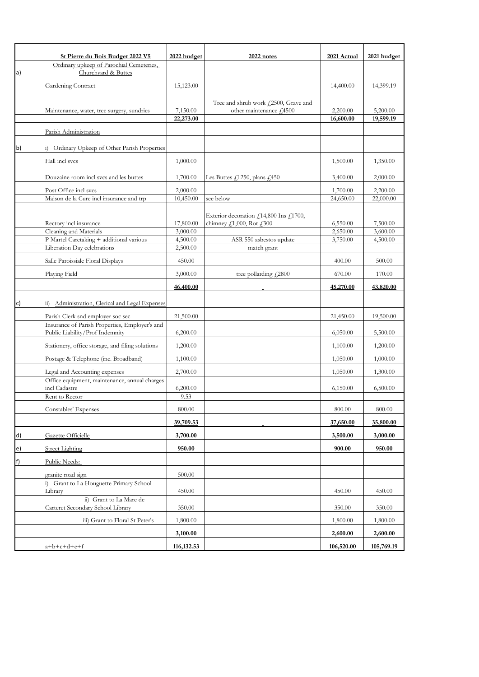|    | St Pierre du Bois Budget 2022 V5                                                  | 2022 budget          | 2022 notes                                                      | 2021 Actual          | 2021 budget          |
|----|-----------------------------------------------------------------------------------|----------------------|-----------------------------------------------------------------|----------------------|----------------------|
|    | Ordinary upkeep of Parochial Cemeteries,                                          |                      |                                                                 |                      |                      |
| a) | Churchyard & Buttes                                                               |                      |                                                                 |                      |                      |
|    | Gardening Contract                                                                | 15,123.00            |                                                                 | 14,400.00            | 14,399.19            |
|    |                                                                                   |                      |                                                                 |                      |                      |
|    | Maintenance, water, tree surgery, sundries                                        | 7,150.00             | Tree and shrub work £2500, Grave and<br>other maintenance £4500 | 2,200.00             | 5,200.00             |
|    |                                                                                   | 22,273.00            |                                                                 | 16,600.00            | 19,599.19            |
|    |                                                                                   |                      |                                                                 |                      |                      |
|    | Parish Administration                                                             |                      |                                                                 |                      |                      |
| b) | i) Ordinary Upkeep of Other Parish Properties                                     |                      |                                                                 |                      |                      |
|    | Hall incl svcs                                                                    | 1,000.00             |                                                                 | 1,500.00             | 1,350.00             |
|    | Douzaine room incl svcs and les buttes                                            | 1,700.00             | Les Buttes $f$ 1250, plans $f$ 450                              | 3,400.00             | 2,000.00             |
|    | Post Office incl svcs                                                             | 2,000.00             |                                                                 | 1,700.00             | 2,200.00             |
|    | Maison de la Cure incl insurance and trp                                          | 10,450.00            | see below                                                       | 24,650.00            | 22,000.00            |
|    |                                                                                   |                      |                                                                 |                      |                      |
|    |                                                                                   |                      | Exterior decoration $f$ 14,800 Ins $f$ 1700,                    |                      |                      |
|    | Rectory incl insurance                                                            | 17,800.00            | chimney $f$ ,1,000, Rot $f$ ,300                                | 6,550.00             | 7,500.00             |
|    | Cleaning and Materials<br>P Martel Caretaking + additional various                | 3,000.00<br>4,500.00 | ASR 550 asbestos update                                         | 2,650.00<br>3,750.00 | 3,600.00<br>4,500.00 |
|    | Liberation Day celebrations                                                       | 2,500.00             | match grant                                                     |                      |                      |
|    |                                                                                   |                      |                                                                 |                      |                      |
|    | Salle Paroissiale Floral Displays                                                 | 450.00               |                                                                 | 400.00               | 500.00               |
|    | Playing Field                                                                     | 3,000.00             | tree pollarding $\sqrt{2800}$                                   | 670.00               | 170.00               |
|    |                                                                                   | 46,400.00            |                                                                 | 45,270.00            | 43,820.00            |
| c) | Administration, Clerical and Legal Expenses<br>$\dddot{11}$                       |                      |                                                                 |                      |                      |
|    | Parish Clerk snd employer soc sec                                                 | 21,500.00            |                                                                 | 21,450.00            | 19,500.00            |
|    | Insurance of Parish Properties, Employer's and<br>Public Liability/Prof Indemnity | 6,200.00             |                                                                 | 6,050.00             | 5,500.00             |
|    | Stationery, office storage, and filing solutions                                  | 1,200.00             |                                                                 | 1,100.00             | 1,200.00             |
|    | Postage & Telephone (inc. Broadband)                                              |                      |                                                                 | 1,050.00             | 1,000.00             |
|    |                                                                                   | 1,100.00             |                                                                 |                      |                      |
|    | Legal and Accounting expenses<br>Office equipment, maintenance, annual charges    | 2,700.00             |                                                                 | 1,050.00             | 1,300.00             |
|    | incl Cadastre                                                                     | 6,200.00             |                                                                 | 6,150.00             | 6,500.00             |
|    | Rent to Rector                                                                    | 9.53                 |                                                                 |                      |                      |
|    | Constables' Expenses                                                              | 800.00               |                                                                 | 800.00               | 800.00               |
|    |                                                                                   | 39,709.53            |                                                                 | 37,650.00            | 35,800.00            |
| d) | Gazette Officielle                                                                | 3,700.00             |                                                                 | 3,500.00             | 3,000.00             |
| e) | <b>Street Lighting</b>                                                            | 950.00               |                                                                 | 900.00               | 950.00               |
| f) | Public Needs:                                                                     |                      |                                                                 |                      |                      |
|    | granite road sign                                                                 | 500.00               |                                                                 |                      |                      |
|    | i) Grant to La Houguette Primary School                                           |                      |                                                                 |                      |                      |
|    | Library                                                                           | 450.00               |                                                                 | 450.00               | 450.00               |
|    | ii) Grant to La Mare de<br>Carteret Secondary School Library                      | 350.00               |                                                                 | 350.00               | 350.00               |
|    | iii) Grant to Floral St Peter's                                                   | 1,800.00             |                                                                 | 1,800.00             | 1,800.00             |
|    |                                                                                   | 3,100.00             |                                                                 | 2,600.00             | 2,600.00             |
|    | $a+b+c+d+e+f$                                                                     | 116, 132.53          |                                                                 | 106,520.00           | 105,769.19           |